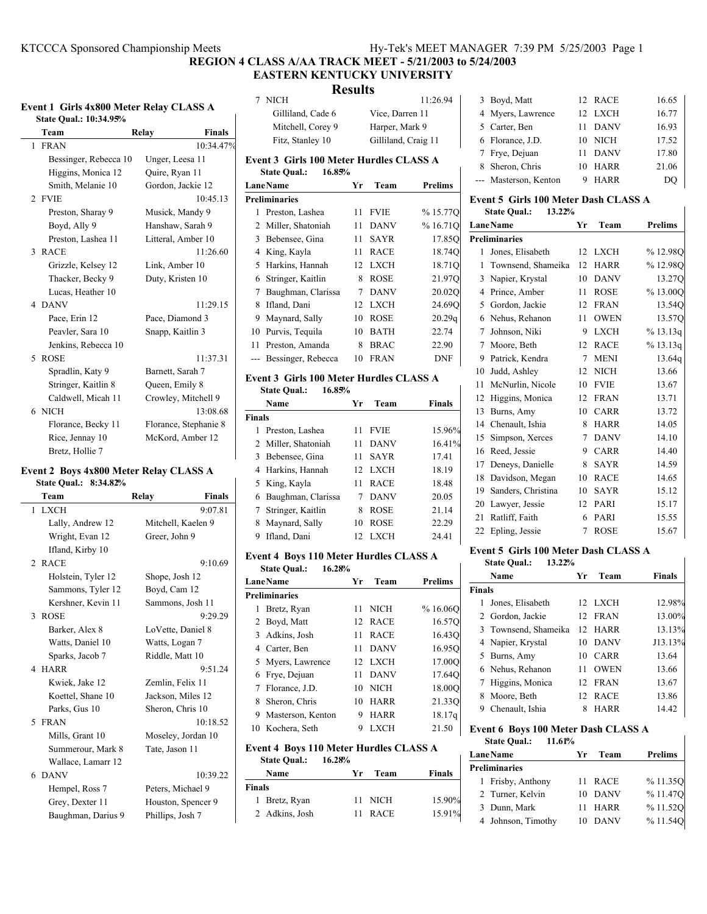## **EASTERN KENTUCKY UNIVERSITY**

## **Results**

| Event 1 Girls 4x800 Meter Relay CLASS A |                        |                        |                |  |  |
|-----------------------------------------|------------------------|------------------------|----------------|--|--|
|                                         | State Qual.: 10:34.95% |                        |                |  |  |
|                                         | Team                   | <b>Finals</b><br>Relay |                |  |  |
|                                         | 1 FRAN                 | 10:34.47%              |                |  |  |
|                                         | Bessinger, Rebecca 10  | Unger, Leesa 11        | F              |  |  |
|                                         | Higgins, Monica 12     | Quire, Ryan 11         |                |  |  |
|                                         | Smith, Melanie 10      | Gordon, Jackie 12      | $\overline{1}$ |  |  |
| $\mathfrak{D}$                          | <b>FVIE</b>            | 10:45.13               | P              |  |  |
|                                         | Preston, Sharay 9      | Musick, Mandy 9        |                |  |  |
|                                         | Boyd, Ally 9           | Hanshaw, Sarah 9       |                |  |  |
|                                         | Preston, Lashea 11     | Litteral, Amber 10     |                |  |  |
| $\mathcal{F}$                           | <b>RACE</b>            | 11:26.60               |                |  |  |
|                                         | Grizzle, Kelsey 12     | Link, Amber 10         |                |  |  |
|                                         | Thacker, Becky 9       | Duty, Kristen 10       |                |  |  |
|                                         | Lucas, Heather 10      |                        |                |  |  |
|                                         | 4 DANV                 | 11:29.15               |                |  |  |
|                                         | Pace, Erin 12          | Pace, Diamond 3        |                |  |  |
|                                         | Peavler, Sara 10       | Snapp, Kaitlin 3       |                |  |  |
|                                         | Jenkins, Rebecca 10    |                        |                |  |  |
| 5                                       | <b>ROSE</b>            | 11:37.31               |                |  |  |
|                                         | Spradlin, Katy 9       | Barnett, Sarah 7       | F              |  |  |
|                                         | Stringer, Kaitlin 8    | Queen, Emily 8         |                |  |  |
|                                         | Caldwell, Micah 11     | Crowley, Mitchell 9    |                |  |  |
|                                         | 6 NICH                 | 13:08.68               | F              |  |  |
|                                         | Florance, Becky 11     | Florance, Stephanie 8  |                |  |  |
|                                         | Rice, Jennay 10        | McKord, Amber 12       |                |  |  |
|                                         | Bretz, Hollie 7        |                        |                |  |  |

### **Event 2 Boys 4x800 Meter Relay CLASS A**

| <b>State Qual.: 8:34.82%</b> |  |
|------------------------------|--|
|------------------------------|--|

| Team                        | <b>Finals</b><br>Relay |
|-----------------------------|------------------------|
| <b>LXCH</b><br>$\mathbf{1}$ | 9:07.81                |
| Lally, Andrew 12            | Mitchell, Kaelen 9     |
| Wright, Evan 12             | Greer, John 9          |
| Ifland, Kirby 10            |                        |
| 2 RACE                      | 9:10.69                |
| Holstein, Tyler 12          | Shope, Josh 12         |
| Sammons, Tyler 12           | Boyd, Cam 12           |
| Kershner, Kevin 11          | Sammons, Josh 11       |
| <b>ROSE</b><br>3            | 9:29.29                |
| Barker, Alex 8              | LoVette, Daniel 8      |
| Watts, Daniel 10            | Watts, Logan 7         |
| Sparks, Jacob 7             | Riddle, Matt 10        |
| 4 HARR                      | 9:51.24                |
| Kwiek, Jake 12              | Zemlin, Felix 11       |
| Koettel, Shane 10           | Jackson, Miles 12      |
| Parks, Gus 10               | Sheron, Chris 10       |
| 5 FRAN                      | 10:18.52               |
| Mills, Grant 10             | Moseley, Jordan 10     |
| Summerour, Mark 8           | Tate, Jason 11         |
| Wallace, Lamarr 12          |                        |
| 6 DANV                      | 10:39.22               |
| Hempel, Ross 7              | Peters, Michael 9      |
| Grey, Dexter 11             | Houston, Spencer 9     |
| Baughman, Darius 9          | Phillips, Josh 7       |

|                | 7 NICH                                         |    |                     | 11:26.94       |
|----------------|------------------------------------------------|----|---------------------|----------------|
|                | Gilliland, Cade 6                              |    | Vice, Darren 11     |                |
|                | Mitchell, Corey 9                              |    | Harper, Mark 9      |                |
|                | Fitz, Stanley 10                               |    | Gilliland, Craig 11 |                |
|                | <b>Event 3 Girls 100 Meter Hurdles CLASS A</b> |    |                     |                |
|                | <b>State Qual.:</b><br>16.85%                  |    |                     |                |
|                | <b>LaneName</b>                                | Yr | Team                | <b>Prelims</b> |
|                | <b>Preliminaries</b>                           |    |                     |                |
| $\mathbf{1}$   | Preston, Lashea                                | 11 | <b>FVIE</b>         | %15.77Q        |
| 2              | Miller, Shatoniah                              | 11 | <b>DANV</b>         | %16.71Q        |
| 3              | Bebensee, Gina                                 | 11 | <b>SAYR</b>         | 17.85Q         |
| 4              | King, Kayla                                    | 11 | <b>RACE</b>         | 18.74Q         |
| 5              | Harkins, Hannah                                | 12 | <b>LXCH</b>         | 18.71Q         |
| 6              | Stringer, Kaitlin                              | 8  | <b>ROSE</b>         | 21.97Q         |
| 7              | Baughman, Clarissa                             | 7  | <b>DANV</b>         | 20.02Q         |
| 8              | Ifland, Dani                                   | 12 | <b>LXCH</b>         | 24.69Q         |
| 9              | Maynard, Sally                                 | 10 | <b>ROSE</b>         | 20.29q         |
| 10             | Purvis, Tequila                                | 10 | <b>BATH</b>         | 22.74          |
| 11             | Preston, Amanda                                | 8  | <b>BRAC</b>         | 22.90          |
| $\overline{a}$ | Bessinger, Rebecca                             | 10 | <b>FRAN</b>         | <b>DNF</b>     |
|                | <b>Event 3 Girls 100 Meter Hurdles CLASS A</b> |    |                     |                |
|                | <b>State Qual.:</b><br>16.85%                  |    |                     |                |
|                | Name                                           | Yr | Team                | <b>Finals</b>  |
| mar and the    |                                                |    |                     |                |

| inals                |    |             |                           |
|----------------------|----|-------------|---------------------------|
| Preston, Lashea      | 11 | <b>FVIE</b> | 15.96%                    |
| 2 Miller, Shatoniah  | 11 | <b>DANV</b> | 16.41%                    |
| 3 Bebensee, Gina     | 11 | <b>SAYR</b> | 17.41                     |
| 4 Harkins, Hannah    | 12 |             | 18.19                     |
| 5 King, Kayla        | 11 | <b>RACE</b> | 18.48                     |
| 6 Baughman, Clarissa |    |             | 20.05                     |
| 7 Stringer, Kaitlin  | 8  | <b>ROSE</b> | 21.14                     |
| 8 Maynard, Sally     | 10 | <b>ROSE</b> | 22.29                     |
| 9 Ifland, Dani       |    |             | 24.41                     |
|                      |    |             | LXCH<br>7 DANV<br>12 LXCH |

### **Event 4 Boys 110 Meter Hurdles CLASS A State Qual.: 16.28%**

| LaneName             | Yr | Team        | <b>Prelims</b> |  |  |  |
|----------------------|----|-------------|----------------|--|--|--|
| <b>Preliminaries</b> |    |             |                |  |  |  |
| 1 Bretz, Ryan        | 11 | <b>NICH</b> | %16.06O        |  |  |  |
| 2 Boyd, Matt         |    | 12 RACE     | 16.570         |  |  |  |
| 3 Adkins, Josh       | 11 | <b>RACE</b> | 16.430         |  |  |  |
| 4 Carter, Ben        | 11 | <b>DANV</b> | 16.950         |  |  |  |
| 5 Myers, Lawrence    |    | 12 LXCH     | 17.00O         |  |  |  |
| 6 Frye, Dejuan       | 11 | <b>DANV</b> | 17.640         |  |  |  |
| 7 Florance, J.D.     |    | 10 NICH     | 18.00O         |  |  |  |
| Sheron, Chris<br>8   | 10 | HARR        | 21.330         |  |  |  |
| 9 Masterson, Kenton  | 9  | <b>HARR</b> | 18.17g         |  |  |  |
| 10 Kochera, Seth     | 9  | LXCH        | 21.50          |  |  |  |

### **Event 4 Boys 110 Meter Hurdles CLASS A**

| <b>State Qual.:</b> |                | 16.28% |    |             |        |
|---------------------|----------------|--------|----|-------------|--------|
|                     | Name           | Yг     |    | Team        | Finals |
| <b>Finals</b>       |                |        |    |             |        |
|                     | 1 Bretz, Ryan  |        |    | 11 NICH     | 15.90% |
|                     | 2 Adkins, Josh |        | 11 | <b>RACE</b> | 15.91% |

| 3 Boyd, Matt          |    | 12 RACE     | 16.65 |
|-----------------------|----|-------------|-------|
| 4 Myers, Lawrence     |    | 12 LXCH     | 16.77 |
| 5 Carter, Ben         | 11 | DANV        | 16.93 |
| 6 Florance, J.D.      |    | 10 NICH     | 17.52 |
| 7 Frye, Dejuan        | 11 | DANV        | 17.80 |
| 8 Sheron, Chris       | 10 | <b>HARR</b> | 21.06 |
| --- Masterson, Kenton | 9  | <b>HARR</b> | DO.   |

#### **Event 5 Girls 100 Meter Dash CLASS A State Qual.: 13.22%**

|    | <b>LaneName</b>      | Yr | Team        | <b>Prelims</b> |
|----|----------------------|----|-------------|----------------|
|    | <b>Preliminaries</b> |    |             |                |
| 1  | Jones, Elisabeth     | 12 | <b>LXCH</b> | %12.98O        |
| 1  | Townsend, Shameika   | 12 | <b>HARR</b> | %12.98Q        |
| 3  | Napier, Krystal      | 10 | <b>DANV</b> | 13.27Q         |
| 4  | Prince, Amber        | 11 | <b>ROSE</b> | %13.000        |
| 5  | Gordon, Jackie       | 12 | <b>FRAN</b> | 13.54Q         |
| 6  | Nehus, Rehanon       | 11 | <b>OWEN</b> | 13.57Q         |
| 7  | Johnson, Niki        | 9  | <b>LXCH</b> | % 13.13q       |
| 7  | Moore, Beth          | 12 | <b>RACE</b> | % 13.13q       |
| 9  | Patrick, Kendra      | 7  | <b>MENI</b> | 13.64q         |
| 10 | Judd, Ashley         | 12 | <b>NICH</b> | 13.66          |
| 11 | McNurlin, Nicole     | 10 | <b>FVIE</b> | 13.67          |
| 12 | Higgins, Monica      | 12 | <b>FRAN</b> | 13.71          |
| 13 | Burns, Amy           | 10 | <b>CARR</b> | 13.72          |
| 14 | Chenault, Ishia      | 8  | <b>HARR</b> | 14.05          |
| 15 | Simpson, Xerces      | 7  | <b>DANV</b> | 14.10          |
| 16 | Reed, Jessie         | 9  | <b>CARR</b> | 14.40          |
| 17 | Deneys, Danielle     | 8  | <b>SAYR</b> | 14.59          |
| 18 | Davidson, Megan      | 10 | <b>RACE</b> | 14.65          |
| 19 | Sanders, Christina   | 10 | <b>SAYR</b> | 15.12          |
| 20 | Lawyer, Jessie       | 12 | PARI        | 15.17          |
| 21 | Ratliff, Faith       | 6  | PARI        | 15.55          |
| 22 | Epling, Jessie       | 7  | <b>ROSE</b> | 15.67          |

### **Event 5 Girls 100 Meter Dash CLASS A**

|               | 13.22%<br><b>State Qual.:</b> |     |             |               |
|---------------|-------------------------------|-----|-------------|---------------|
|               | Name                          | Уr  | Team        | <b>Finals</b> |
| <b>Finals</b> |                               |     |             |               |
| 1             | Jones, Elisabeth              |     | 12 LXCH     | 12.98%        |
|               | 2 Gordon, Jackie              |     | 12 FRAN     | 13.00%        |
|               | 3 Townsend, Shameika          |     | 12 HARR     | 13.13%        |
|               | 4 Napier, Krystal             | 10  | <b>DANV</b> | J13.13%       |
|               | 5 Burns, Amy                  | 10  | CARR        | 13.64         |
|               | 6 Nehus, Rehanon              | 11  | <b>OWEN</b> | 13.66         |
| 7             | Higgins, Monica               | 12. | FRAN        | 13.67         |
| 8             | Moore, Beth                   | 12. | RACE        | 13.86         |
| 9             | Chenault, Ishia               | 8   | HARR        | 14.42         |
|               |                               |     |             |               |

### **Event 6 Boys 100 Meter Dash CLASS A**

| <b>State Qual.:</b> | 11.61% |
|---------------------|--------|
|---------------------|--------|

| <b>LaneName</b>      |    | Team<br>Yr. | <b>Prelims</b> |
|----------------------|----|-------------|----------------|
| <b>Preliminaries</b> |    |             |                |
| 1 Frisby, Anthony    |    | 11 RACE     | %11.35O        |
| 2 Turner, Kelvin     |    | 10 DANV     | %11.47O        |
| 3 Dunn, Mark         |    | 11 HARR     | %11.52O        |
| 4 Johnson, Timothy   | 10 | DANV        | %11.54O        |

 $\overline{\phantom{a}}$ 

# **Event 1 Girls 4x800 Meter Relay CLASS A**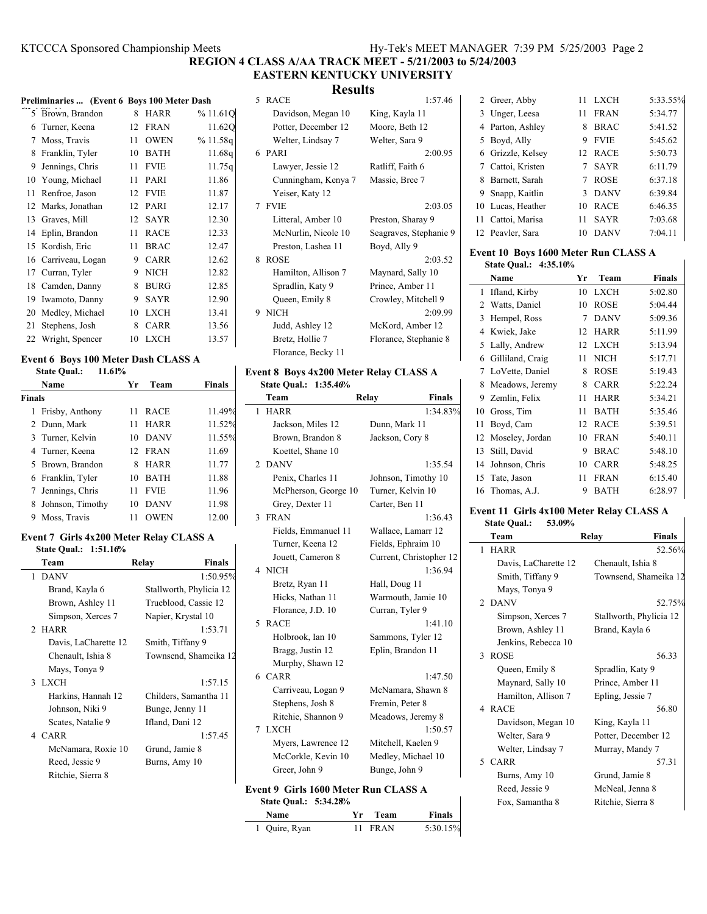### **EASTERN KENTUCKY UNIVERSITY Results**

|    | Preliminaries  (Event 6 Boys 100 Meter Dash |    |             |         |
|----|---------------------------------------------|----|-------------|---------|
|    | 5 Brown, Brandon                            | 8  | <b>HARR</b> | %11.61Q |
|    | 6 Turner, Keena                             | 12 | <b>FRAN</b> | 11.62Q  |
| 7  | Moss, Travis                                | 11 | <b>OWEN</b> | %11.58q |
| 8  | Franklin, Tyler                             | 10 | <b>BATH</b> | 11.68q  |
| 9  | Jennings, Chris                             | 11 | <b>FVIE</b> | 11.75q  |
| 10 | Young, Michael                              | 11 | PARI        | 11.86   |
| 11 | Renfroe, Jason                              | 12 | <b>FVIE</b> | 11.87   |
| 12 | Marks, Jonathan                             | 12 | PARI        | 12.17   |
| 13 | Graves, Mill                                | 12 | SAYR        | 12.30   |
| 14 | Eplin, Brandon                              | 11 | <b>RACE</b> | 12.33   |
| 15 | Kordish, Eric                               | 11 | <b>BRAC</b> | 12.47   |
|    | 16 Carriveau, Logan                         | 9  | <b>CARR</b> | 12.62   |
| 17 | Curran, Tyler                               | 9  | <b>NICH</b> | 12.82   |
| 18 | Camden, Danny                               | 8  | <b>BURG</b> | 12.85   |
| 19 | Iwamoto, Danny                              | 9  | <b>SAYR</b> | 12.90   |
| 20 | Medley, Michael                             | 10 | <b>LXCH</b> | 13.41   |
| 21 | Stephens, Josh                              | 8  | <b>CARR</b> | 13.56   |
|    | 22 Wright, Spencer                          | 10 | <b>LXCH</b> | 13.57   |

#### **Event 6 Boys 100 Meter Dash CLASS A State Qual.: 11.61%**

|        | Name               | Yr | Team        | <b>Finals</b> |
|--------|--------------------|----|-------------|---------------|
| Finals |                    |    |             |               |
|        | 1 Frisby, Anthony  | 11 | <b>RACE</b> | 11.49%        |
|        | 2 Dunn, Mark       | 11 | <b>HARR</b> | 11.52%        |
|        | 3 Turner, Kelvin   |    | 10 DANV     | 11.55%        |
|        | 4 Turner, Keena    |    | 12 FRAN     | 11.69         |
|        | 5 Brown, Brandon   | 8  | <b>HARR</b> | 11.77         |
|        | 6 Franklin, Tyler  |    | 10 BATH     | 11.88         |
|        | 7 Jennings, Chris  | 11 | <b>FVIE</b> | 11.96         |
|        | 8 Johnson, Timothy | 10 | <b>DANV</b> | 11.98         |
| 9      | Moss, Travis       |    | <b>OWEN</b> | 12.00         |
|        |                    |    |             |               |

### **Event 7 Girls 4x200 Meter Relay CLASS A State Qual.: 1:51.16%**

| Team                 | <b>Finals</b><br>Relay  |
|----------------------|-------------------------|
| 1 DANV               | 1:50.95%                |
| Brand, Kayla 6       | Stallworth, Phylicia 12 |
| Brown, Ashley 11     | Trueblood, Cassie 12    |
| Simpson, Xerces 7    | Napier, Krystal 10      |
| 2 HARR               | 1:53.71                 |
| Davis, LaCharette 12 | Smith, Tiffany 9        |
| Chenault, Ishia 8    | Townsend, Shameika 12   |
| Mays, Tonya 9        |                         |
| 3 LXCH               | 1:57.15                 |
| Harkins, Hannah 12   | Childers, Samantha 11   |
| Johnson, Niki 9      | Bunge, Jenny 11         |
| Scates, Natalie 9    | Ifland, Dani 12         |
| 4 CARR               | 1:57.45                 |
| McNamara, Roxie 10   | Grund, Jamie 8          |
| Reed, Jessie 9       | Burns, Amy 10           |
| Ritchie, Sierra 8    |                         |

|   | 5 RACE              | 1:57.46                |
|---|---------------------|------------------------|
|   | Davidson, Megan 10  | King, Kayla 11         |
|   | Potter, December 12 | Moore, Beth 12         |
|   | Welter, Lindsay 7   | Welter, Sara 9         |
|   | 6 PARI              | 2:00.95                |
|   | Lawyer, Jessie 12   | Ratliff, Faith 6       |
|   | Cunningham, Kenya 7 | Massie, Bree 7         |
|   | Yeiser, Katy 12     |                        |
|   | 7 FVIE              | 2:03.05                |
|   | Litteral, Amber 10  | Preston, Sharay 9      |
|   | McNurlin, Nicole 10 | Seagraves, Stephanie 9 |
|   | Preston, Lashea 11  | Boyd, Ally 9           |
| 8 | <b>ROSE</b>         | 2:03.52                |
|   | Hamilton, Allison 7 | Maynard, Sally 10      |
|   | Spradlin, Katy 9    | Prince, Amber 11       |
|   | Queen, Emily 8      | Crowley, Mitchell 9    |
|   | 9 NICH              | 2:09.99                |
|   | Judd, Ashley 12     | McKord, Amber 12       |
|   | Bretz, Hollie 7     | Florance, Stephanie 8  |
|   | Florance, Becky 11  |                        |

### **Event 8 Boys 4x200 Meter Relay CLASS A**

**State Qual.: 1:35.46%**

|                | Team                                        | <b>Finals</b><br>Relay  |
|----------------|---------------------------------------------|-------------------------|
| 1              | <b>HARR</b>                                 | 1:34.83%                |
|                | Jackson, Miles 12                           | Dunn, Mark 11           |
|                | Brown, Brandon 8                            | Jackson, Cory 8         |
|                | Koettel, Shane 10                           |                         |
|                | 2 DANV                                      | 1:35.54                 |
|                | Penix, Charles 11                           | Johnson, Timothy 10     |
|                | McPherson, George 10                        | Turner, Kelvin 10       |
|                | Grey, Dexter 11                             | Carter, Ben 11          |
| $\overline{3}$ | <b>FRAN</b>                                 | 1:36.43                 |
|                | Fields, Emmanuel 11                         | Wallace, Lamarr 12      |
|                | Turner, Keena 12                            | Fields, Ephraim 10      |
|                | Jouett, Cameron 8                           | Current, Christopher 12 |
|                | 4 NICH                                      | 1:36.94                 |
|                | Bretz, Ryan 11                              | Hall, Doug 11           |
|                | Hicks, Nathan 11                            | Warmouth, Jamie 10      |
|                | Florance, J.D. 10                           | Curran, Tyler 9         |
|                | 5 RACE                                      | 1:41.10                 |
|                | Holbrook, Ian 10                            | Sammons, Tyler 12       |
|                | Bragg, Justin 12                            | Eplin, Brandon 11       |
|                | Murphy, Shawn 12                            |                         |
|                | 6 CARR                                      | 1:47.50                 |
|                | Carriveau, Logan 9                          | McNamara, Shawn 8       |
|                | Stephens, Josh 8                            | Fremin, Peter 8         |
|                | Ritchie, Shannon 9                          | Meadows, Jeremy 8       |
| 7              | <b>LXCH</b>                                 | 1:50.57                 |
|                | Myers, Lawrence 12                          | Mitchell, Kaelen 9      |
|                | McCorkle, Kevin 10                          | Medley, Michael 10      |
|                | Greer, John 9                               | Bunge, John 9           |
|                | <b>Event 9 Girls 1600 Meter Run CLASS A</b> |                         |

| <b>State Qual.: 5:34.28%</b> |         |               |
|------------------------------|---------|---------------|
| <b>Name</b>                  | Yr Team | <b>Finals</b> |

| 1 Quire, Ryan | 11 FRAN | 5:30.15% |
|---------------|---------|----------|

| 2 Greer, Abby     | 11 | <b>LXCH</b> | 5:33.55% |
|-------------------|----|-------------|----------|
| 3 Unger, Leesa    | 11 | <b>FRAN</b> | 5:34.77  |
| 4 Parton, Ashley  | 8  | <b>BRAC</b> | 5:41.52  |
| 5 Boyd, Ally      | 9  | <b>FVIE</b> | 5:45.62  |
| 6 Grizzle, Kelsey |    | 12 RACE     | 5:50.73  |
| 7 Cattoi, Kristen |    | <b>SAYR</b> | 6:11.79  |
| 8 Barnett, Sarah  |    | <b>ROSE</b> | 6:37.18  |
| 9 Snapp, Kaitlin  | 3  | <b>DANV</b> | 6:39.84  |
| 10 Lucas, Heather | 10 | <b>RACE</b> | 6:46.35  |
| 11 Cattoi, Marisa | 11 | <b>SAYR</b> | 7:03.68  |
| 12 Peavler, Sara  |    | <b>DANV</b> | 7:04.11  |

#### **Event 10 Boys 1600 Meter Run CLASS A State Qual.: 4:35.10%**

| 91au Vual 4.99.10/0 |                  |    |             |               |
|---------------------|------------------|----|-------------|---------------|
|                     | Name             | Yг | Team        | <b>Finals</b> |
| 1                   | Ifland, Kirby    | 10 | <b>LXCH</b> | 5:02.80       |
| 2                   | Watts, Daniel    | 10 | <b>ROSE</b> | 5:04.44       |
| 3                   | Hempel, Ross     | 7  | <b>DANV</b> | 5:09.36       |
| 4                   | Kwiek, Jake      | 12 | <b>HARR</b> | 5:11.99       |
| 5                   | Lally, Andrew    | 12 | <b>LXCH</b> | 5:13.94       |
| 6                   | Gilliland, Craig | 11 | <b>NICH</b> | 5:17.71       |
| 7                   | LoVette, Daniel  | 8  | <b>ROSE</b> | 5:19.43       |
| 8                   | Meadows, Jeremy  | 8  | <b>CARR</b> | 5:22.24       |
| 9                   | Zemlin, Felix    | 11 | <b>HARR</b> | 5:34.21       |
| 10                  | Gross, Tim       | 11 | <b>BATH</b> | 5:35.46       |
| 11                  | Boyd, Cam        | 12 | <b>RACE</b> | 5:39.51       |
| 12                  | Moseley, Jordan  | 10 | <b>FRAN</b> | 5:40.11       |
| 13                  | Still, David     | 9  | <b>BRAC</b> | 5:48.10       |
| 14                  | Johnson, Chris   | 10 | <b>CARR</b> | 5:48.25       |
| 15                  | Tate, Jason      | 11 | <b>FRAN</b> | 6:15.40       |
| 16                  | Thomas, A.J.     | 9  | <b>BATH</b> | 6:28.97       |

### **Event 11 Girls 4x100 Meter Relay CLASS A**

| <b>State Qual.:</b><br>53.09% |                         |
|-------------------------------|-------------------------|
| Team                          | Finals<br>Relay         |
| 1 HARR                        | 52.56%                  |
| Davis, LaCharette 12          | Chenault, Ishia 8       |
| Smith, Tiffany 9              | Townsend, Shameika 12   |
| Mays, Tonya 9                 |                         |
| 2 DANV                        | 52.75%                  |
| Simpson, Xerces 7             | Stallworth, Phylicia 12 |
| Brown, Ashley 11              | Brand, Kayla 6          |
| Jenkins, Rebecca 10           |                         |
| 3 ROSE                        | 56.33                   |
| Queen, Emily 8                | Spradlin, Katy 9        |
| Maynard, Sally 10             | Prince, Amber 11        |
| Hamilton, Allison 7           | Epling, Jessie 7        |
| 4 RACE                        | 56.80                   |
| Davidson, Megan 10            | King, Kayla 11          |
| Welter, Sara 9                | Potter, December 12     |
| Welter, Lindsay 7             | Murray, Mandy 7         |
| 5 CARR                        | 57.31                   |
| Burns, Amy 10                 | Grund, Jamie 8          |
| Reed, Jessie 9                | McNeal, Jenna 8         |
| Fox, Samantha 8               | Ritchie, Sierra 8       |
|                               |                         |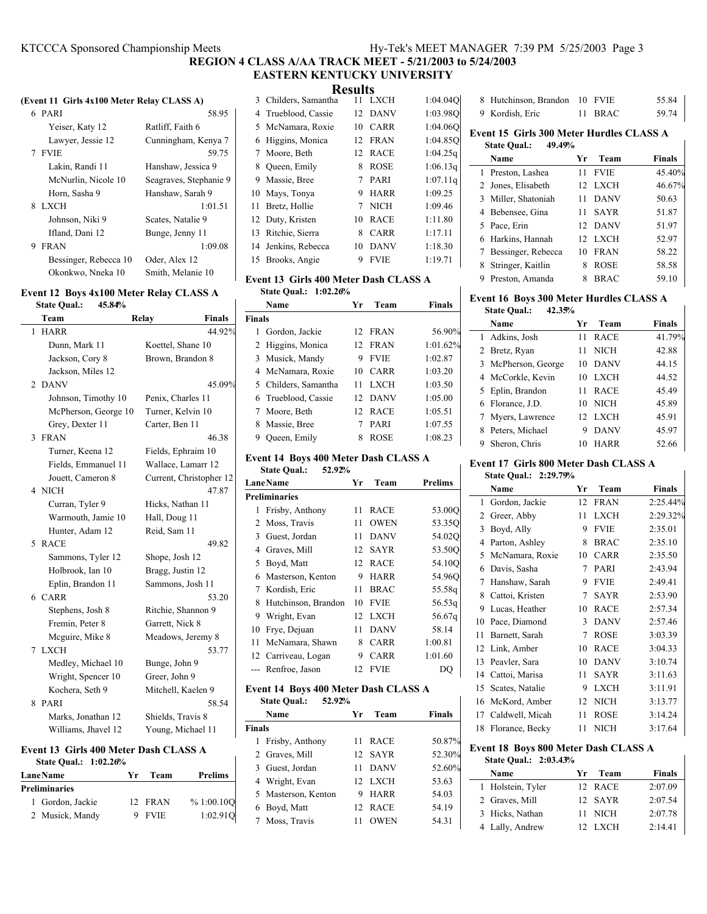### KTCCCA Sponsored Championship Meets Hy-Tek's MEET MANAGER 7:39 PM 5/25/2003 Page 3

### **REGION 4 CLASS A/AA TRACK MEET - 5/21/2003 to 5/24/2003 EASTERN KENTUCKY UNIVERSITY**

### **Results**

|  | (Event 11 Girls 4x100 Meter Relay CLASS A) |  |
|--|--------------------------------------------|--|
|--|--------------------------------------------|--|

| 6 PARI                | 58.95                  |
|-----------------------|------------------------|
| Yeiser, Katy 12       | Ratliff, Faith 6       |
| Lawyer, Jessie 12     | Cunningham, Kenya 7    |
| 7 FVJE                | 59.75                  |
| Lakin, Randi 11       | Hanshaw, Jessica 9     |
| McNurlin, Nicole 10   | Seagraves, Stephanie 9 |
| Horn, Sasha 9         | Hanshaw, Sarah 9       |
| 8 LXCH                | 1:01.51                |
| Johnson, Niki 9       | Scates, Natalie 9      |
| Ifland, Dani 12       | Bunge, Jenny 11        |
| <b>FRAN</b><br>9      | 1:09.08                |
| Bessinger, Rebecca 10 | Oder, Alex 12          |
| Okonkwo, Nneka 10     | Smith, Melanie 10      |
|                       |                        |

### **Event 12 Boys 4x100 Meter Relay CLASS A**

| <b>State Qual.:</b><br>45.84% |                         |
|-------------------------------|-------------------------|
| Team                          | <b>Finals</b><br>Relay  |
| <b>HARR</b><br>1              | 44.92%                  |
| Dunn, Mark 11                 | Koettel, Shane 10       |
| Jackson, Cory 8               | Brown, Brandon 8        |
| Jackson, Miles 12             |                         |
| <b>DANV</b><br>2              | 45.09%                  |
| Johnson, Timothy 10           | Penix, Charles 11       |
| McPherson, George 10          | Turner, Kelvin 10       |
| Grey, Dexter 11               | Carter, Ben 11          |
| <b>FRAN</b><br>3              | 46.38                   |
| Turner, Keena 12              | Fields, Ephraim 10      |
| Fields, Emmanuel 11           | Wallace, Lamarr 12      |
| Jouett, Cameron 8             | Current, Christopher 12 |
| 4 NICH                        | 47.87                   |
| Curran, Tyler 9               | Hicks, Nathan 11        |
| Warmouth, Jamie 10            | Hall, Doug 11           |
| Hunter, Adam 12               | Reid, Sam 11            |
| <b>RACE</b><br>5              | 49.82                   |
| Sammons, Tyler 12             | Shope, Josh 12          |
| Holbrook, Ian 10              | Bragg, Justin 12        |
| Eplin, Brandon 11             | Sammons, Josh 11        |
| 6 CARR                        | 53.20                   |
| Stephens, Josh 8              | Ritchie, Shannon 9      |
| Fremin, Peter 8               | Garrett, Nick 8         |
| Mcguire, Mike 8               | Meadows, Jeremy 8       |
| <b>LXCH</b><br>7              | 53.77                   |
| Medley, Michael 10            | Bunge, John 9           |
| Wright, Spencer 10            | Greer, John 9           |
| Kochera, Seth 9               | Mitchell, Kaelen 9      |
| 8<br><b>PARI</b>              | 58.54                   |
| Marks, Jonathan 12            | Shields, Travis 8       |
| Williams, Jhavel 12           | Young, Michael 11       |

### **Event 13 Girls 400 Meter Dash CLASS A State Qual.: 1:02.26%**

| <b>Lane Name</b> | Yr | Team    | Prelims    |
|------------------|----|---------|------------|
| Preliminaries    |    |         |            |
| 1 Gordon, Jackie |    | 12 FRAN | % 1:00.10O |
| 2 Musick, Mandy  |    | 9 FVIE  | 1:02.910   |

 $\mathbf{I}$ 

|                      | ixesuits |             |          |
|----------------------|----------|-------------|----------|
| 3 Childers, Samantha | 11       | <b>LXCH</b> | 1:04.040 |
| 4 Trueblood, Cassie  | 12       | DANV        | 1:03.980 |
| 5 McNamara, Roxie    | 10       | <b>CARR</b> | 1:04.06O |
| 6 Higgins, Monica    |          | 12 FRAN     | 1:04.850 |
| 7 Moore, Beth        | 12       | <b>RACE</b> | 1:04.25q |
| 8 Queen, Emily       | 8        | <b>ROSE</b> | 1:06.13q |
| 9 Massie, Bree       | 7        | <b>PARI</b> | 1:07.11q |
| 10 Mays, Tonya       | 9        | <b>HARR</b> | 1:09.25  |
| 11 Bretz, Hollie     | 7        | <b>NICH</b> | 1:09.46  |
| 12 Duty, Kristen     | 10       | <b>RACE</b> | 1:11.80  |
| 13 Ritchie, Sierra   | 8        | <b>CARR</b> | 1:17.11  |
| 14 Jenkins, Rebecca  | 10       | <b>DANV</b> | 1:18.30  |
| 15 Brooks, Angie     |          | <b>FVIE</b> | 1:19.71  |

### **Event 13 Girls 400 Meter Dash CLASS A**

**State Qual.: 1:02.26%**

|               | Name                 | Уr              | Team        | <b>Finals</b> |
|---------------|----------------------|-----------------|-------------|---------------|
| <b>Finals</b> |                      |                 |             |               |
| 1             | Gordon, Jackie       |                 | 12 FRAN     | 56.90%        |
|               | 2 Higgins, Monica    | 12 <sub>1</sub> | <b>FRAN</b> | 1:01.62%      |
|               | 3 Musick, Mandy      | 9               | <b>FVIE</b> | 1:02.87       |
|               | 4 McNamara, Roxie    | 10              | CARR        | 1:03.20       |
|               | 5 Childers, Samantha | 11              | <b>LXCH</b> | 1:03.50       |
|               | 6 Trueblood, Cassie  | 12 <sub>1</sub> | <b>DANV</b> | 1:05.00       |
|               | 7 Moore, Beth        | 12 <sub>1</sub> | <b>RACE</b> | 1:05.51       |
| 8             | Massie, Bree         |                 | PARI        | 1:07.55       |
|               | Queen, Emily         | 8               | <b>ROSE</b> | 1:08.23       |

### **Event 14 Boys 400 Meter Dash CLASS A State Qual.: 52.92%**

|    | <b>LaneName</b>                             | Yr | Team        | <b>Prelims</b> |
|----|---------------------------------------------|----|-------------|----------------|
|    | <b>Preliminaries</b>                        |    |             |                |
| 1  | Frisby, Anthony                             | 11 | <b>RACE</b> | 53.00Q         |
| 2  | Moss, Travis                                | 11 | <b>OWEN</b> | 53.35Q         |
| 3  | Guest, Jordan                               | 11 | <b>DANV</b> | 54.02Q         |
| 4  | Graves, Mill                                | 12 | <b>SAYR</b> | 53.50Q         |
| 5  | Boyd, Matt                                  | 12 | <b>RACE</b> | 54.10Q         |
| 6  | Masterson, Kenton                           | 9  | <b>HARR</b> | 54.96Q         |
| 7  | Kordish, Eric                               | 11 | <b>BRAC</b> | 55.58g         |
| 8  | Hutchinson, Brandon                         | 10 | <b>FVIE</b> | 56.53q         |
| 9  | Wright, Evan                                | 12 | <b>LXCH</b> | 56.67q         |
| 10 | Frye, Dejuan                                | 11 | <b>DANV</b> | 58.14          |
| 11 | McNamara, Shawn                             | 8  | <b>CARR</b> | 1:00.81        |
|    | 12 Carriveau, Logan                         | 9  | <b>CARR</b> | 1:01.60        |
|    | Renfroe, Jason                              | 12 | <b>FVIE</b> | DO             |
|    | <b>Event 14 Boys 400 Meter Dash CLASS A</b> |    |             |                |
|    | <b>State Qual.:</b><br>52.92%               |    |             |                |
|    | Name                                        | Yr | Team        | <b>Finals</b>  |

|               | таше                | . . | .           | г шав  |
|---------------|---------------------|-----|-------------|--------|
| <b>Finals</b> |                     |     |             |        |
|               | 1 Frisby, Anthony   | 11  | <b>RACE</b> | 50.87% |
|               | 2 Graves, Mill      |     | 12 SAYR     | 52.30% |
|               | 3 Guest, Jordan     | 11  | <b>DANV</b> | 52.60% |
|               | 4 Wright, Evan      |     | 12 LXCH     | 53.63  |
|               | 5 Masterson, Kenton | 9   | HARR        | 54.03  |
|               | 6 Boyd, Matt        |     | 12 RACE     | 54.19  |
|               | 7 Moss, Travis      |     | <b>OWEN</b> | 54.31  |

| 8 Hutchinson, Brandon 10 FVIE |         | 55.84 |
|-------------------------------|---------|-------|
| 9 Kordish, Eric               | 11 BRAC | 59.74 |

### **Event 15 Girls 300 Meter Hurdles CLASS A State Qual.: 49.49%**

|   | Name                 | Yr  | Team        | <b>Finals</b> |
|---|----------------------|-----|-------------|---------------|
|   | 1 Preston, Lashea    | 11  | <b>FVIE</b> | 45.40%        |
|   | 2 Jones, Elisabeth   |     | 12 LXCH     | 46.67%        |
|   | 3 Miller, Shatoniah  | 11  | <b>DANV</b> | 50.63         |
|   | 4 Bebensee, Gina     | 11. | <b>SAYR</b> | 51.87         |
|   | 5 Pace, Erin         |     | 12 DANV     | 51.97         |
|   | 6 Harkins, Hannah    |     | 12 LXCH     | 52.97         |
|   | 7 Bessinger, Rebecca | 10  | <b>FRAN</b> | 58.22         |
|   | 8 Stringer, Kaitlin  | 8   | <b>ROSE</b> | 58.58         |
| 9 | Preston, Amanda      |     | <b>BRAC</b> | 59.10         |

#### **Event 16 Boys 300 Meter Hurdles CLASS A State Qual.: 42.35%**

 $\mathbf{I}$ 

| state Qual.:<br>44.3370 |    |             |               |
|-------------------------|----|-------------|---------------|
| Name                    | Yr | Team        | <b>Finals</b> |
| 1 Adkins, Josh          | 11 | <b>RACE</b> | 41.79%        |
| 2 Bretz, Ryan           | 11 | <b>NICH</b> | 42.88         |
| 3 McPherson, George     | 10 | <b>DANV</b> | 44.15         |
| 4 McCorkle, Kevin       | 10 | LXCH        | 44.52         |
| 5 Eplin, Brandon        | 11 | <b>RACE</b> | 45.49         |
| 6 Florance, J.D.        |    | 10 NICH     | 45.89         |
| 7 Myers, Lawrence       |    | 12 LXCH     | 45.91         |
| Peters, Michael<br>8    | 9  | <b>DANV</b> | 45.97         |
| Sheron, Chris<br>9      | 10 | <b>HARR</b> | 52.66         |
|                         |    |             |               |

### **Event 17 Girls 800 Meter Dash CLASS A**

|    | State Qual.: 2:29.79% |    |             |               |
|----|-----------------------|----|-------------|---------------|
|    | Name                  | Yr | Team        | <b>Finals</b> |
| 1  | Gordon, Jackie        | 12 | <b>FRAN</b> | 2:25.44%      |
| 2  | Greer, Abby           | 11 | <b>LXCH</b> | 2:29.32%      |
| 3  | Boyd, Ally            | 9  | <b>FVIE</b> | 2:35.01       |
| 4  | Parton, Ashley        | 8  | <b>BRAC</b> | 2:35.10       |
| 5  | McNamara, Roxie       | 10 | <b>CARR</b> | 2:35.50       |
| 6  | Davis, Sasha          | 7  | PARI        | 2:43.94       |
| 7  | Hanshaw, Sarah        | 9  | <b>FVIE</b> | 2:49.41       |
| 8  | Cattoi, Kristen       | 7  | <b>SAYR</b> | 2:53.90       |
| 9  | Lucas, Heather        | 10 | <b>RACE</b> | 2:57.34       |
| 10 | Pace, Diamond         | 3  | <b>DANV</b> | 2:57.46       |
| 11 | Barnett, Sarah        | 7  | <b>ROSE</b> | 3:03.39       |
| 12 | Link, Amber           | 10 | <b>RACE</b> | 3:04.33       |
| 13 | Peavler, Sara         | 10 | <b>DANV</b> | 3:10.74       |
| 14 | Cattoi, Marisa        | 11 | <b>SAYR</b> | 3:11.63       |
| 15 | Scates, Natalie       | 9  | <b>LXCH</b> | 3:11.91       |
| 16 | McKord, Amber         | 12 | <b>NICH</b> | 3:13.77       |
| 17 | Caldwell, Micah       | 11 | <b>ROSE</b> | 3:14.24       |
| 18 | Florance, Becky       | 11 | <b>NICH</b> | 3:17.64       |
|    |                       |    |             |               |

#### **Event 18 Boys 800 Meter Dash CLASS A State Qual.: 2:03.43%**

| $31$ ate Qual $2.03.43/0$ |     |         |               |
|---------------------------|-----|---------|---------------|
| Name                      | Yr. | Team    | <b>Finals</b> |
| 1 Holstein, Tyler         |     | 12 RACE | 2:07.09       |
| 2 Graves, Mill            |     | 12 SAYR | 2:07.54       |
| 3 Hicks, Nathan           |     | 11 NICH | 2:07.78       |
| 4 Lally, Andrew           |     | 12 LXCH | 2:14.41       |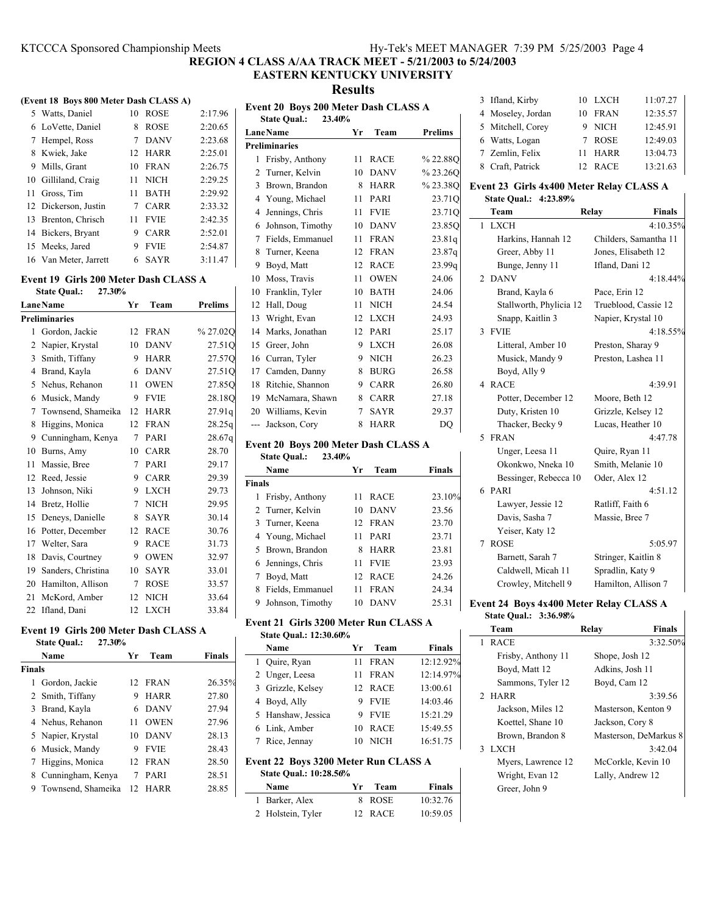### **EASTERN KENTUCKY UNIVERSITY**

**Results**

| (Event 18 Boys 800 Meter Dash CLASS A) |    |             |         |
|----------------------------------------|----|-------------|---------|
| 5 Watts, Daniel                        | 10 | <b>ROSE</b> | 2:17.96 |
| 6 LoVette, Daniel                      | 8  | <b>ROSE</b> | 2:20.65 |
| 7 Hempel, Ross                         | 7  | <b>DANV</b> | 2:23.68 |
| 8 Kwiek, Jake                          |    | 12 HARR     | 2:25.01 |
| 9 Mills, Grant                         |    | $10$ FRAN   | 2:26.75 |
| 10 Gilliland, Craig                    | 11 | <b>NICH</b> | 2:29.25 |
| 11 Gross, Tim                          | 11 | <b>BATH</b> | 2:29.92 |
| 12 Dickerson, Justin                   | 7  | CARR        | 2:33.32 |
| 13 Brenton, Chrisch                    | 11 | <b>FVIE</b> | 2:42.35 |
| 14 Bickers, Bryant                     | 9  | CARR        | 2:52.01 |
| 15 Meeks, Jared                        | 9  | <b>FVIE</b> | 2:54.87 |
| 16 Van Meter, Jarrett                  | 6  | <b>SAYR</b> | 3:11.47 |

#### **Event 19 Girls 200 Meter Dash CLASS A**

| 27.30%<br><b>State Oual.:</b> |                      |    |             |                |  |
|-------------------------------|----------------------|----|-------------|----------------|--|
|                               | <b>LaneName</b>      | Yr | Team        | <b>Prelims</b> |  |
|                               | <b>Preliminaries</b> |    |             |                |  |
| 1                             | Gordon, Jackie       | 12 | <b>FRAN</b> | %27.02Q        |  |
| 2                             | Napier, Krystal      | 10 | <b>DANV</b> | 27.51Q         |  |
| 3                             | Smith, Tiffany       | 9  | <b>HARR</b> | 27.57Q         |  |
| 4                             | Brand, Kayla         | 6  | <b>DANV</b> | 27.51Q         |  |
| 5                             | Nehus, Rehanon       | 11 | <b>OWEN</b> | 27.85Q         |  |
| 6                             | Musick, Mandy        | 9  | <b>FVIE</b> | 28.18Q         |  |
| 7                             | Townsend, Shameika   | 12 | <b>HARR</b> | 27.91q         |  |
| 8                             | Higgins, Monica      | 12 | <b>FRAN</b> | 28.25q         |  |
| 9                             | Cunningham, Kenya    | 7  | PARI        | 28.67q         |  |
| 10                            | Burns, Amy           | 10 | <b>CARR</b> | 28.70          |  |
| 11                            | Massie, Bree         | 7  | PARI        | 29.17          |  |
| 12                            | Reed, Jessie         | 9  | <b>CARR</b> | 29.39          |  |
| 13                            | Johnson, Niki        | 9  | <b>LXCH</b> | 29.73          |  |
| 14                            | Bretz, Hollie        | 7  | <b>NICH</b> | 29.95          |  |
| 15                            | Deneys, Danielle     | 8  | <b>SAYR</b> | 30.14          |  |
| 16                            | Potter, December     | 12 | <b>RACE</b> | 30.76          |  |
| 17                            | Welter, Sara         | 9  | <b>RACE</b> | 31.73          |  |
| 18                            | Davis, Courtney      | 9  | <b>OWEN</b> | 32.97          |  |
| 19                            | Sanders, Christina   | 10 | <b>SAYR</b> | 33.01          |  |
| 20                            | Hamilton, Allison    | 7  | <b>ROSE</b> | 33.57          |  |
| 21                            | McKord, Amber        | 12 | <b>NICH</b> | 33.64          |  |
| 22                            | Ifland, Dani         | 12 | <b>LXCH</b> | 33.84          |  |

### **Event 19 Girls 200 Meter Dash CLASS A**

|               | 27.30%<br><b>State Qual.:</b> |                 |             |               |
|---------------|-------------------------------|-----------------|-------------|---------------|
|               | Name                          | Уr              | Team        | <b>Finals</b> |
| <b>Finals</b> |                               |                 |             |               |
| 1             | Gordon, Jackie                | 12 <sub>1</sub> | FRAN        | 26.35%        |
|               | 2 Smith, Tiffany              | 9               | <b>HARR</b> | 27.80         |
|               | 3 Brand, Kayla                | 6               | <b>DANV</b> | 27.94         |
|               | 4 Nehus, Rehanon              | 11              | <b>OWEN</b> | 27.96         |
|               | 5 Napier, Krystal             | 10              | <b>DANV</b> | 28.13         |
|               | 6 Musick, Mandy               | 9               | <b>FVIE</b> | 28.43         |
| 7             | Higgins, Monica               | 12 <sub>1</sub> | <b>FRAN</b> | 28.50         |
| 8             | Cunningham, Kenya             | 7               | <b>PARI</b> | 28.51         |
| 9             | Townsend, Shameika            | 12              | <b>HARR</b> | 28.85         |

| Event 20 Boys 200 Meter Dash CLASS A |                      |    |             |                |  |  |
|--------------------------------------|----------------------|----|-------------|----------------|--|--|
| 23.40%<br><b>State Qual.:</b>        |                      |    |             |                |  |  |
|                                      | <b>LaneName</b>      | Yr | Team        | <b>Prelims</b> |  |  |
|                                      | <b>Preliminaries</b> |    |             |                |  |  |
| 1                                    | Frisby, Anthony      | 11 | <b>RACE</b> | % 22.88Q       |  |  |
| 2                                    | Turner, Kelvin       | 10 | <b>DANV</b> | %23.26Q        |  |  |
| 3                                    | Brown, Brandon       | 8  | <b>HARR</b> | %23.38Q        |  |  |
| 4                                    | Young, Michael       | 11 | <b>PARI</b> | 23.71Q         |  |  |
| 4                                    | Jennings, Chris      | 11 | <b>FVIE</b> | 23.71Q         |  |  |
| 6                                    | Johnson, Timothy     | 10 | <b>DANV</b> | 23.85Q         |  |  |
| 7                                    | Fields, Emmanuel     | 11 | <b>FRAN</b> | 23.81q         |  |  |
| 8                                    | Turner, Keena        | 12 | <b>FRAN</b> | 23.87q         |  |  |
| 9                                    | Boyd, Matt           | 12 | <b>RACE</b> | 23.99q         |  |  |
| 10                                   | Moss, Travis         | 11 | <b>OWEN</b> | 24.06          |  |  |
| 10                                   | Franklin, Tyler      | 10 | <b>BATH</b> | 24.06          |  |  |
| 12                                   | Hall, Doug           | 11 | <b>NICH</b> | 24.54          |  |  |
| 13                                   | Wright, Evan         | 12 | <b>LXCH</b> | 24.93          |  |  |
| 14                                   | Marks, Jonathan      | 12 | <b>PARI</b> | 25.17          |  |  |
| 15                                   | Greer, John          | 9  | <b>LXCH</b> | 26.08          |  |  |
| 16                                   | Curran, Tyler        | 9  | <b>NICH</b> | 26.23          |  |  |
| 17                                   | Camden, Danny        | 8  | <b>BURG</b> | 26.58          |  |  |
| 18                                   | Ritchie, Shannon     | 9  | <b>CARR</b> | 26.80          |  |  |
| 19                                   | McNamara, Shawn      | 8  | <b>CARR</b> | 27.18          |  |  |
| 20                                   | Williams, Kevin      | 7  | <b>SAYR</b> | 29.37          |  |  |
| $\overline{a}$                       | Jackson, Cory        | 8  | <b>HARR</b> | DQ             |  |  |

### **Event 20 Boys 200 Meter Dash CLASS A**

|               | 23.40%<br><b>State Qual.:</b> |     |             |               |
|---------------|-------------------------------|-----|-------------|---------------|
|               | Name                          | Уr  | Team        | <b>Finals</b> |
| <b>Finals</b> |                               |     |             |               |
| 1             | Frisby, Anthony               | 11  | <b>RACE</b> | 23.10%        |
|               | 2 Turner, Kelvin              | 10. | <b>DANV</b> | 23.56         |
|               | 3 Turner, Keena               |     | 12 FRAN     | 23.70         |
|               | 4 Young, Michael              | 11  | PARI        | 23.71         |
|               | 5 Brown, Brandon              | 8   | <b>HARR</b> | 23.81         |
|               | 6 Jennings, Chris             | 11  | <b>FVIE</b> | 23.93         |
|               | 7 Boyd, Matt                  | 12  | <b>RACE</b> | 24.26         |
| 8             | Fields, Emmanuel              | 11  | <b>FRAN</b> | 24.34         |
| 9             | Johnson, Timothy              | 10  | <b>DANV</b> | 25.31         |

#### **Event 21 Girls 3200 Meter Run CLASS A State Qual.: 12:30.60%**

| <u>state vaam 12:00:00/0</u>                                          |                    |    |             |               |  |
|-----------------------------------------------------------------------|--------------------|----|-------------|---------------|--|
|                                                                       | Name               | Yr | Team        | <b>Finals</b> |  |
|                                                                       | 1 Quire, Ryan      | 11 | <b>FRAN</b> | 12:12.92%     |  |
|                                                                       | 2 Unger, Leesa     | 11 | <b>FRAN</b> | 12:14.97%     |  |
|                                                                       | 3 Grizzle, Kelsev  |    | 12 RACE     | 13:00.61      |  |
|                                                                       | 4 Boyd, Ally       |    | 9 FVIE      | 14:03.46      |  |
|                                                                       | 5 Hanshaw, Jessica |    | 9 FVIE      | 15:21.29      |  |
|                                                                       | 6 Link, Amber      |    | 10 RACE     | 15:49.55      |  |
|                                                                       | 7 Rice, Jennay     |    | 10 NICH     | 16:51.75      |  |
| Event 22 Boys 3200 Meter Run CLASS A<br><b>State Qual.: 10:28.56%</b> |                    |    |             |               |  |
|                                                                       | Name               | Vr | Toom        | Finale        |  |

| Name              | Yr Team | Finals   |
|-------------------|---------|----------|
| 1 Barker, Alex    | 8 ROSE  | 10:32.76 |
| 2 Holstein, Tyler | 12 RACE | 10:59.05 |

| 3 Ifland, Kirby   |    | 10 LXCH     | 11:07.27 |
|-------------------|----|-------------|----------|
| 4 Moseley, Jordan | 10 | <b>FRAN</b> | 12:35.57 |
| 5 Mitchell, Corey |    | 9 NICH      | 12:45.91 |
| 6 Watts, Logan    |    | 7 ROSE      | 12:49.03 |
| 7 Zemlin, Felix   | 11 | <b>HARR</b> | 13:04.73 |
| 8 Craft, Patrick  |    | 12 RACE     | 13:21.63 |

### **Event 23 Girls 4x400 Meter Relay CLASS A**

| State Qual.: 4:23.89%   |                        |  |  |  |
|-------------------------|------------------------|--|--|--|
| Team                    | <b>Finals</b><br>Relay |  |  |  |
| 1 LXCH                  | 4:10.35%               |  |  |  |
| Harkins, Hannah 12      | Childers, Samantha 11  |  |  |  |
| Greer, Abby 11          | Jones, Elisabeth 12    |  |  |  |
| Bunge, Jenny 11         | Ifland, Dani 12        |  |  |  |
| 2 DANV                  | 4:18.44%               |  |  |  |
| Brand, Kayla 6          | Pace, Erin 12          |  |  |  |
| Stallworth, Phylicia 12 | Trueblood, Cassie 12   |  |  |  |
| Snapp, Kaitlin 3        | Napier, Krystal 10     |  |  |  |
| <b>FVIE</b><br>3        | 4:18.55%               |  |  |  |
| Litteral, Amber 10      | Preston, Sharay 9      |  |  |  |
| Musick, Mandy 9         | Preston, Lashea 11     |  |  |  |
| Boyd, Ally 9            |                        |  |  |  |
| 4 RACE                  | 4:39.91                |  |  |  |
| Potter, December 12     | Moore, Beth 12         |  |  |  |
| Duty, Kristen 10        | Grizzle, Kelsey 12     |  |  |  |
| Thacker, Becky 9        | Lucas, Heather 10      |  |  |  |
| <b>FRAN</b><br>5        | 4:47.78                |  |  |  |
| Unger, Leesa 11         | Quire, Ryan 11         |  |  |  |
| Okonkwo, Nneka 10       | Smith, Melanie 10      |  |  |  |
| Bessinger, Rebecca 10   | Oder, Alex 12          |  |  |  |
| 6 PARI                  | 4.5112                 |  |  |  |
| Lawyer, Jessie 12       | Ratliff, Faith 6       |  |  |  |
| Davis, Sasha 7          | Massie, Bree 7         |  |  |  |
| Yeiser, Katy 12         |                        |  |  |  |
| <b>ROSE</b><br>7        | 5:05.97                |  |  |  |
| Barnett, Sarah 7        | Stringer, Kaitlin 8    |  |  |  |
| Caldwell, Micah 11      | Spradlin, Katy 9       |  |  |  |
| Crowley, Mitchell 9     | Hamilton, Allison 7    |  |  |  |
|                         |                        |  |  |  |

### **Event 24 Boys 4x400 Meter Relay CLASS A State Qual.: 3:36.98%**

| Team               | <b>Finals</b><br>Relay |
|--------------------|------------------------|
| 1 RACE             | 3:32.50%               |
| Frisby, Anthony 11 | Shope, Josh 12         |
| Boyd, Matt 12      | Adkins, Josh 11        |
| Sammons, Tyler 12  | Boyd, Cam 12           |
| 2 HARR             | 3:39.56                |
| Jackson, Miles 12  | Masterson, Kenton 9    |
| Koettel, Shane 10  | Jackson, Cory 8        |
| Brown, Brandon 8   | Masterson, DeMarkus 8  |
| 3 LXCH             | 3:42.04                |
| Myers, Lawrence 12 | McCorkle, Kevin 10     |
| Wright, Evan 12    | Lally, Andrew 12       |
| Greer, John 9      |                        |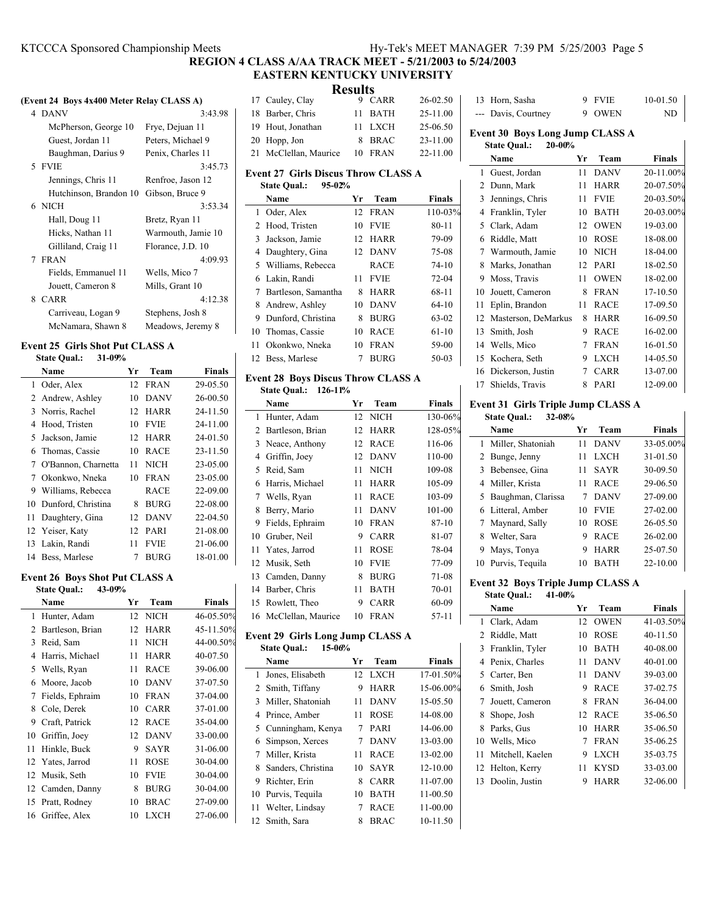## KTCCCA Sponsored Championship Meets Hy-Tek's MEET MANAGER 7:39 PM 5/25/2003 Page 5

**REGION 4 CLASS A/AA TRACK MEET - 5/21/2003 to 5/24/2003 EASTERN KENTUCKY UNIVERSITY**

| (Event 24 Boys 4x400 Meter Relay CLASS A) |                                        |                    |  |  |
|-------------------------------------------|----------------------------------------|--------------------|--|--|
|                                           | 4 DANV                                 | 3:43.98            |  |  |
|                                           | McPherson, George 10                   | Frye, Dejuan 11    |  |  |
|                                           | Guest, Jordan 11                       | Peters, Michael 9  |  |  |
|                                           | Baughman, Darius 9                     | Penix, Charles 11  |  |  |
|                                           | 5 FVIE                                 | 3:45.73            |  |  |
|                                           | Jennings, Chris 11                     | Renfroe, Jason 12  |  |  |
|                                           | Hutchinson, Brandon 10 Gibson, Bruce 9 |                    |  |  |
|                                           | 6 NICH                                 | 3:53.34            |  |  |
|                                           | Hall, Doug 11                          | Bretz, Ryan 11     |  |  |
|                                           | Hicks, Nathan 11                       | Warmouth, Jamie 10 |  |  |
|                                           | Gilliland, Craig 11                    | Florance, J.D. 10  |  |  |
|                                           | 7 FRAN                                 | 4:09.93            |  |  |
|                                           | Fields, Emmanuel 11                    | Wells, Mico 7      |  |  |
|                                           | Jouett, Cameron 8                      | Mills, Grant 10    |  |  |
|                                           | 8 CARR                                 | 4:12.38            |  |  |
|                                           | Carriveau, Logan 9                     | Stephens, Josh 8   |  |  |
|                                           | McNamara, Shawn 8                      | Meadows, Jeremy 8  |  |  |
|                                           |                                        |                    |  |  |

#### **Event 25 Girls Shot Put CLASS A State Qual.: 31-09%**

|     | Name                | Yr               | Team        | <b>Finals</b> |
|-----|---------------------|------------------|-------------|---------------|
| 1.  | Oder, Alex          |                  | 12 FRAN     | 29-05.50      |
|     | 2 Andrew, Ashley    | 10               | <b>DANV</b> | 26-00.50      |
|     | 3 Norris, Rachel    | 12 <sup>12</sup> | <b>HARR</b> | 24-11.50      |
| 4   | Hood, Tristen       | 10               | <b>FVIE</b> | 24-11.00      |
| 5   | Jackson, Jamie      | 12               | <b>HARR</b> | 24-01.50      |
|     | 6 Thomas, Cassie    | 10               | <b>RACE</b> | 23-11.50      |
| 7   | O'Bannon, Charnetta | 11               | NICH        | 23-05.00      |
|     | 7 Okonkwo, Nneka    | 10               | <b>FRAN</b> | 23-05.00      |
|     | 9 Williams, Rebecca |                  | RACE        | 22-09.00      |
| 10  | Dunford, Christina  | 8                | <b>BURG</b> | 22-08.00      |
| 11  | Daughtery, Gina     | 12               | <b>DANV</b> | 22-04.50      |
|     | 12 Yeiser, Katy     | 12               | <b>PARI</b> | 21-08.00      |
| 13. | Lakin, Randi        | 11               | <b>FVIE</b> | 21-06.00      |
|     | 14 Bess, Marlese    | 7                | BURG        | 18-01.00      |

# **Event 26 Boys Shot Put CLASS A**<br>State Ovel : 43,00%

|    | 43-09%<br><b>State Qual.:</b> |    |             |               |
|----|-------------------------------|----|-------------|---------------|
|    | Name                          | Yr | Team        | <b>Finals</b> |
| 1  | Hunter, Adam                  | 12 | <b>NICH</b> | 46-05.50%     |
| 2  | Bartleson, Brian              | 12 | <b>HARR</b> | 45-11.50%     |
| 3  | Reid, Sam                     | 11 | <b>NICH</b> | 44-00.50%     |
| 4  | Harris, Michael               | 11 | <b>HARR</b> | 40-07.50      |
| 5  | Wells, Ryan                   | 11 | <b>RACE</b> | 39-06.00      |
| 6  | Moore, Jacob                  | 10 | <b>DANV</b> | 37-07.50      |
| 7  | Fields, Ephraim               | 10 | <b>FRAN</b> | 37-04.00      |
| 8  | Cole, Derek                   | 10 | <b>CARR</b> | 37-01.00      |
| 9  | Craft, Patrick                | 12 | <b>RACE</b> | 35-04.00      |
| 10 | Griffin, Joey                 | 12 | <b>DANV</b> | 33-00.00      |
| 11 | Hinkle, Buck                  | 9  | <b>SAYR</b> | 31-06.00      |
| 12 | Yates, Jarrod                 | 11 | <b>ROSE</b> | 30-04.00      |
| 12 | Musik, Seth                   | 10 | <b>FVIE</b> | 30-04.00      |
| 12 | Camden, Danny                 | 8  | <b>BURG</b> | 30-04.00      |
| 15 | Pratt, Rodney                 | 10 | <b>BRAC</b> | 27-09.00      |
| 16 | Griffee, Alex                 | 10 | <b>LXCH</b> | 27-06.00      |

| EASTERN RENTUURT UNIVERSITT<br><b>Results</b> |                                                                                 |         |                            |                 |  |
|-----------------------------------------------|---------------------------------------------------------------------------------|---------|----------------------------|-----------------|--|
| 17                                            | Cauley, Clay                                                                    | 9       | <b>CARR</b>                | 26-02.50        |  |
| 18                                            | Barber, Chris                                                                   | 11      | BATH                       | 25-11.00        |  |
| 19                                            | Hout, Jonathan                                                                  | 11      | <b>LXCH</b>                | 25-06.50        |  |
| 20                                            | Hopp, Jon                                                                       | 8       | <b>BRAC</b>                | 23-11.00        |  |
| 21                                            | McClellan, Maurice                                                              | 10      | <b>FRAN</b>                | 22-11.00        |  |
|                                               |                                                                                 |         |                            |                 |  |
|                                               | <b>Event 27 Girls Discus Throw CLASS A</b><br>$95 - 02%$<br><b>State Qual.:</b> |         |                            |                 |  |
|                                               | Name                                                                            | Yr      | Team                       | <b>Finals</b>   |  |
| 1                                             | Oder, Alex                                                                      | 12      | <b>FRAN</b>                | 110-03%         |  |
| 2                                             | Hood, Tristen                                                                   | 10      | <b>FVIE</b>                | $80 - 11$       |  |
| 3                                             | Jackson, Jamie                                                                  | 12      | <b>HARR</b>                | 79-09           |  |
| 4                                             | Daughtery, Gina                                                                 | 12      | <b>DANV</b>                | 75-08           |  |
| 5                                             | Williams, Rebecca                                                               |         | <b>RACE</b>                | 74-10           |  |
| 6                                             | Lakin, Randi                                                                    | 11      | <b>FVIE</b>                | 72-04           |  |
| 7                                             | Bartleson, Samantha                                                             | 8       | <b>HARR</b>                | 68-11           |  |
| 8                                             | Andrew, Ashley                                                                  | 10      | <b>DANV</b>                | $64 - 10$       |  |
| 9                                             | Dunford, Christina                                                              | 8       | <b>BURG</b>                | 63-02           |  |
| 10                                            | Thomas, Cassie                                                                  | 10      | <b>RACE</b>                | $61 - 10$       |  |
| 11                                            | Okonkwo, Nneka                                                                  | 10      | <b>FRAN</b>                | 59-00           |  |
| 12                                            | Bess, Marlese                                                                   | 7       | <b>BURG</b>                | 50-03           |  |
|                                               |                                                                                 |         |                            |                 |  |
|                                               | <b>Event 28 Boys Discus Throw CLASS A</b>                                       |         |                            |                 |  |
|                                               | <b>State Qual.:</b><br>$126 - 11%$                                              |         |                            |                 |  |
|                                               | Name                                                                            | Yr      | Team                       | <b>Finals</b>   |  |
| 1                                             | Hunter, Adam                                                                    | 12      | <b>NICH</b>                | 130-06%         |  |
| 2                                             | Bartleson, Brian                                                                | 12      | <b>HARR</b>                | 128-05%         |  |
| 3                                             | Neace, Anthony                                                                  | 12      | RACE                       | 116-06          |  |
| 4                                             | Griffin, Joey                                                                   | 12      | <b>DANV</b>                | 110-00          |  |
| 5                                             | Reid, Sam                                                                       | 11      | <b>NICH</b>                | 109-08          |  |
| 6                                             | Harris, Michael                                                                 | 11      | <b>HARR</b>                | 105-09          |  |
| 7                                             | Wells, Ryan                                                                     | 11      | <b>RACE</b>                | 103-09          |  |
| 8<br>9                                        | Berry, Mario<br>Fields, Ephraim                                                 | 11      | <b>DANV</b><br><b>FRAN</b> | 101-00<br>87-10 |  |
| 10                                            | Gruber, Neil                                                                    | 10<br>9 | CARR                       | 81-07           |  |
| 11                                            | Yates, Jarrod                                                                   | 11      | <b>ROSE</b>                | 78-04           |  |
| 12                                            | Musik, Seth                                                                     | 10      | <b>FVIE</b>                | 77-09           |  |
| 13                                            | Camden, Danny                                                                   | 8       | <b>BURG</b>                | 71-08           |  |
| 14                                            | Barber, Chris                                                                   | 11      | <b>BATH</b>                | 70-01           |  |
| 15                                            | Rowlett, Theo                                                                   | 9       | CARR                       | 60-09           |  |
| 16                                            | McClellan, Maurice                                                              | 10      | <b>FRAN</b>                | $57 - 11$       |  |
|                                               |                                                                                 |         |                            |                 |  |
|                                               | <b>Event 29 Girls Long Jump CLASS A</b>                                         |         |                            |                 |  |
|                                               | <b>State Qual.:</b><br>$15 - 06%$<br>Name                                       | Yr      |                            | <b>Finals</b>   |  |
| 1                                             | Jones, Elisabeth                                                                | 12      | Team<br><b>LXCH</b>        | 17-01.50%       |  |
| 2                                             | Smith, Tiffany                                                                  | 9       | <b>HARR</b>                | 15-06.00%       |  |
| 3                                             | Miller, Shatoniah                                                               | 11      | DANV                       | 15-05.50        |  |
| 4                                             | Prince, Amber                                                                   | 11      | <b>ROSE</b>                | 14-08.00        |  |
| 5                                             | Cunningham, Kenya                                                               | 7       | PARI                       | 14-06.00        |  |
| 6                                             | Simpson, Xerces                                                                 | 7       | DANV                       | 13-03.00        |  |
| 7                                             | Miller, Krista                                                                  | 11      | RACE                       | 13-02.00        |  |
| 8                                             | Sanders, Christina                                                              | 10      | <b>SAYR</b>                | 12-10.00        |  |
| 9                                             | Richter, Erin                                                                   | 8       | CARR                       | 11-07.00        |  |
| 10                                            | Purvis, Tequila                                                                 | 10      | BATH                       | 11-00.50        |  |
| 11                                            | Welter, Lindsay                                                                 | 7       | <b>RACE</b>                | 11-00.00        |  |
| 12                                            | Smith, Sara                                                                     | 8       | <b>BRAC</b>                | 10-11.50        |  |
|                                               |                                                                                 |         |                            |                 |  |

| 13                                                                          | Horn, Sasha         | 9               | <b>FVIE</b> | 10-01.50      |  |  |
|-----------------------------------------------------------------------------|---------------------|-----------------|-------------|---------------|--|--|
|                                                                             | Davis, Courtney     | 9               | <b>OWEN</b> | ND            |  |  |
| <b>Event 30 Boys Long Jump CLASS A</b><br>$20 - 00%$<br><b>State Qual.:</b> |                     |                 |             |               |  |  |
|                                                                             | Name                | Уr              | Team        | <b>Finals</b> |  |  |
| 1                                                                           | Guest, Jordan       | 11              | <b>DANV</b> | 20-11.00%     |  |  |
| 2                                                                           | Dunn, Mark          | 11              | <b>HARR</b> | 20-07.50%     |  |  |
| 3                                                                           | Jennings, Chris     | 11              | <b>FVIE</b> | 20-03.50%     |  |  |
| 4                                                                           | Franklin, Tyler     | 10              | <b>BATH</b> | 20-03.00%     |  |  |
| 5.                                                                          | Clark, Adam         | 12              | <b>OWEN</b> | 19-03.00      |  |  |
| 6                                                                           | Riddle, Matt        | 10              | <b>ROSE</b> | 18-08.00      |  |  |
| 7                                                                           | Warmouth, Jamie     | 10              | <b>NICH</b> | 18-04.00      |  |  |
| 8                                                                           | Marks, Jonathan     | 12 <sup>2</sup> | <b>PARI</b> | 18-02.50      |  |  |
| 9                                                                           | Moss, Travis        | 11              | <b>OWEN</b> | 18-02.00      |  |  |
| 10                                                                          | Jouett, Cameron     | 8               | <b>FRAN</b> | 17-10.50      |  |  |
| 11                                                                          | Eplin, Brandon      | 11              | RACE        | 17-09.50      |  |  |
| 12                                                                          | Masterson, DeMarkus | 8               | <b>HARR</b> | 16-09.50      |  |  |
| 13                                                                          | Smith, Josh         | 9               | <b>RACE</b> | $16-02.00$    |  |  |
| 14                                                                          | Wells, Mico         | 7               | <b>FRAN</b> | 16-01.50      |  |  |
| 15                                                                          | Kochera, Seth       | 9               | <b>LXCH</b> | 14-05.50      |  |  |
| 16                                                                          | Dickerson, Justin   | 7               | CARR        | 13-07.00      |  |  |
| 17                                                                          | Shields, Travis     | 8               | PARI        | 12-09.00      |  |  |
|                                                                             |                     |                 |             |               |  |  |

#### **Event 31 Girls Triple Jump CLASS A State Qual.: 32-08%**

| state Qual.:<br>34-V6% |                      |    |             |               |
|------------------------|----------------------|----|-------------|---------------|
|                        | Name                 | Уr | Team        | <b>Finals</b> |
|                        | 1 Miller, Shatoniah  | 11 | <b>DANV</b> | 33-05.00%     |
|                        | 2 Bunge, Jenny       | 11 | <b>LXCH</b> | 31-01.50      |
|                        | 3 Bebensee, Gina     | 11 | <b>SAYR</b> | 30-09.50      |
|                        | 4 Miller, Krista     | 11 | <b>RACE</b> | 29-06.50      |
|                        | 5 Baughman, Clarissa |    | <b>DANV</b> | 27-09.00      |
|                        | 6 Litteral, Amber    | 10 | <b>FVIE</b> | $27-02.00$    |
|                        | Maynard, Sally       | 10 | <b>ROSE</b> | $26 - 0.550$  |
| 8                      | Welter, Sara         | 9  | <b>RACE</b> | $26 - 02.00$  |
| 9                      | Mays, Tonya          | 9  | <b>HARR</b> | 25-07.50      |
| 10                     | Purvis, Tequila      | 10 | <b>BATH</b> | 22-10.00      |
|                        |                      |    |             |               |

### **Event 32 Boys Triple Jump CLASS A**

**State Qual.: 41-00%**

|    | Name             | Yг | Team        | <b>Finals</b> |
|----|------------------|----|-------------|---------------|
|    | 1 Clark, Adam    | 12 | <b>OWEN</b> | 41-03.50%     |
| 2  | Riddle, Matt     | 10 | <b>ROSE</b> | 40-11.50      |
| 3  | Franklin, Tyler  | 10 | <b>BATH</b> | 40-08.00      |
| 4  | Penix, Charles   | 11 | <b>DANV</b> | 40-01.00      |
| 5  | Carter, Ben      | 11 | <b>DANV</b> | 39-03.00      |
| 6  | Smith, Josh      | 9  | <b>RACE</b> | 37-02.75      |
| 7  | Jouett, Cameron  | 8  | <b>FRAN</b> | 36-04.00      |
| 8  | Shope, Josh      | 12 | <b>RACE</b> | 35-06.50      |
| 8  | Parks, Gus       | 10 | <b>HARR</b> | 35-06.50      |
| 10 | Wells, Mico      | 7  | <b>FRAN</b> | 35-06.25      |
| 11 | Mitchell, Kaelen | 9  | <b>LXCH</b> | 35-03.75      |
|    | 12 Helton, Kerry | 11 | <b>KYSD</b> | 33-03.00      |
| 13 | Doolin, Justin   | 9  | <b>HARR</b> | 32-06.00      |

 $\mathbf{I}$